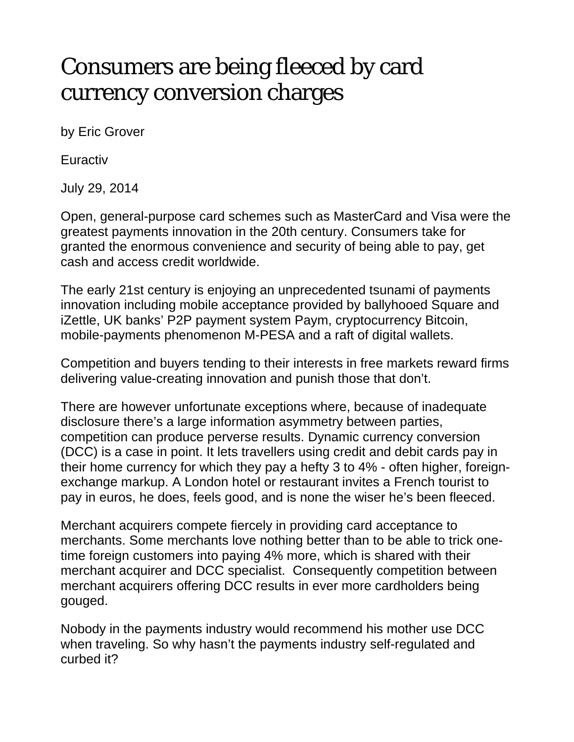## Consumers are being fleeced by card currency conversion charges

by Eric Grover

**Euractiv** 

July 29, 2014

Open, general-purpose card schemes such as MasterCard and Visa were the greatest payments innovation in the 20th century. Consumers take for granted the enormous convenience and security of being able to pay, get cash and access credit worldwide.

The early 21st century is enjoying an unprecedented tsunami of payments innovation including mobile acceptance provided by ballyhooed Square and iZettle, UK banks' P2P payment system Paym, cryptocurrency Bitcoin, mobile-payments phenomenon M-PESA and a raft of digital wallets.

Competition and buyers tending to their interests in free markets reward firms delivering value-creating innovation and punish those that don't.

There are however unfortunate exceptions where, because of inadequate disclosure there's a large information asymmetry between parties, competition can produce perverse results. Dynamic currency conversion (DCC) is a case in point. It lets travellers using credit and debit cards pay in their home currency for which they pay a hefty 3 to 4% - often higher, foreignexchange markup. A London hotel or restaurant invites a French tourist to pay in euros, he does, feels good, and is none the wiser he's been fleeced.

Merchant acquirers compete fiercely in providing card acceptance to merchants. Some merchants love nothing better than to be able to trick onetime foreign customers into paying 4% more, which is shared with their merchant acquirer and DCC specialist. Consequently competition between merchant acquirers offering DCC results in ever more cardholders being gouged.

Nobody in the payments industry would recommend his mother use DCC when traveling. So why hasn't the payments industry self-regulated and curbed it?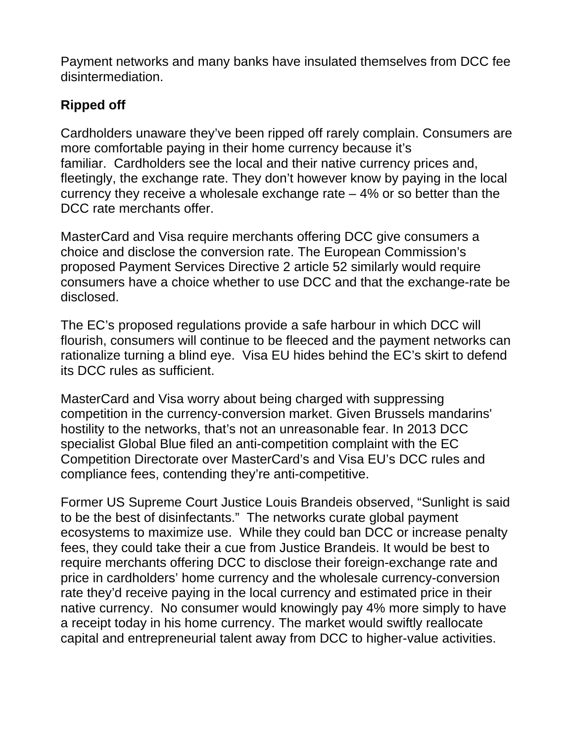Payment networks and many banks have insulated themselves from DCC fee disintermediation.

## **Ripped off**

Cardholders unaware they've been ripped off rarely complain. Consumers are more comfortable paying in their home currency because it's familiar. Cardholders see the local and their native currency prices and, fleetingly, the exchange rate. They don't however know by paying in the local currency they receive a wholesale exchange rate  $-4\%$  or so better than the DCC rate merchants offer.

MasterCard and Visa require merchants offering DCC give consumers a choice and disclose the conversion rate. The European Commission's proposed Payment Services Directive 2 article 52 similarly would require consumers have a choice whether to use DCC and that the exchange-rate be disclosed.

The EC's proposed regulations provide a safe harbour in which DCC will flourish, consumers will continue to be fleeced and the payment networks can rationalize turning a blind eye. Visa EU hides behind the EC's skirt to defend its DCC rules as sufficient.

MasterCard and Visa worry about being charged with suppressing competition in the currency-conversion market. Given Brussels mandarins' hostility to the networks, that's not an unreasonable fear. In 2013 DCC specialist Global Blue filed an anti-competition complaint with the EC Competition Directorate over MasterCard's and Visa EU's DCC rules and compliance fees, contending they're anti-competitive.

Former US Supreme Court Justice Louis Brandeis observed, "Sunlight is said to be the best of disinfectants." The networks curate global payment ecosystems to maximize use. While they could ban DCC or increase penalty fees, they could take their a cue from Justice Brandeis. It would be best to require merchants offering DCC to disclose their foreign-exchange rate and price in cardholders' home currency and the wholesale currency-conversion rate they'd receive paying in the local currency and estimated price in their native currency. No consumer would knowingly pay 4% more simply to have a receipt today in his home currency. The market would swiftly reallocate capital and entrepreneurial talent away from DCC to higher-value activities.